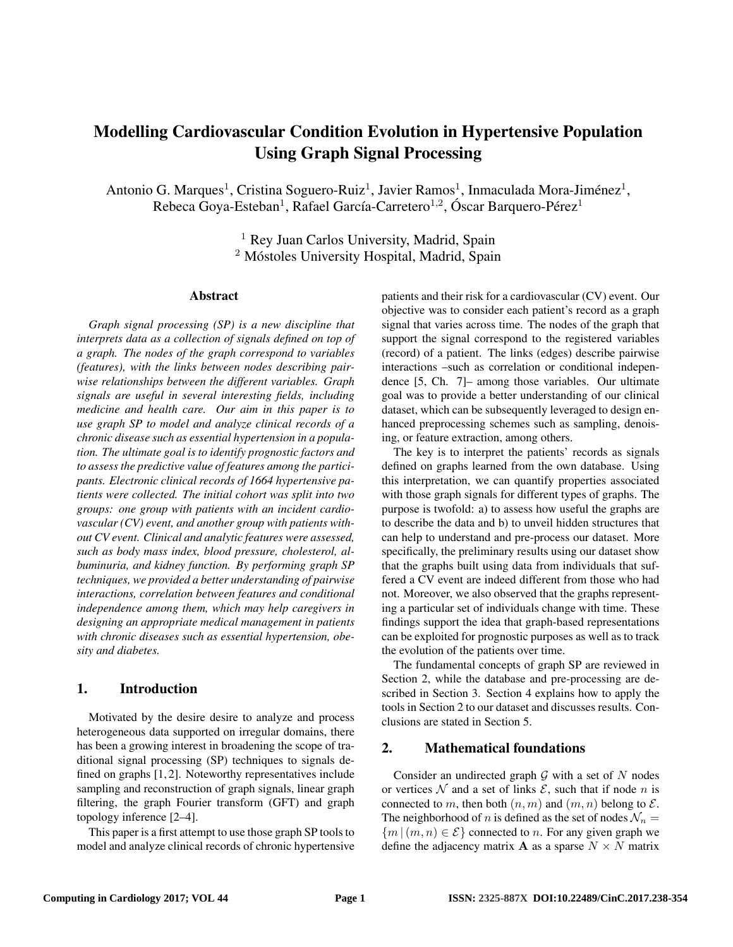# Modelling Cardiovascular Condition Evolution in Hypertensive Population Using Graph Signal Processing

Antonio G. Marques<sup>1</sup>, Cristina Soguero-Ruiz<sup>1</sup>, Javier Ramos<sup>1</sup>, Inmaculada Mora-Jiménez<sup>1</sup>, Rebeca Goya-Esteban<sup>1</sup>, Rafael García-Carretero<sup>1,2</sup>, Óscar Barquero-Pérez<sup>1</sup>

> <sup>1</sup> Rey Juan Carlos University, Madrid, Spain  $2$  Móstoles University Hospital, Madrid, Spain

### Abstract

*Graph signal processing (SP) is a new discipline that interprets data as a collection of signals defined on top of a graph. The nodes of the graph correspond to variables (features), with the links between nodes describing pairwise relationships between the different variables. Graph signals are useful in several interesting fields, including medicine and health care. Our aim in this paper is to use graph SP to model and analyze clinical records of a chronic disease such as essential hypertension in a population. The ultimate goal is to identify prognostic factors and to assess the predictive value of features among the participants. Electronic clinical records of 1664 hypertensive patients were collected. The initial cohort was split into two groups: one group with patients with an incident cardiovascular (CV) event, and another group with patients without CV event. Clinical and analytic features were assessed, such as body mass index, blood pressure, cholesterol, albuminuria, and kidney function. By performing graph SP techniques, we provided a better understanding of pairwise interactions, correlation between features and conditional independence among them, which may help caregivers in designing an appropriate medical management in patients with chronic diseases such as essential hypertension, obesity and diabetes.*

# 1. Introduction

Motivated by the desire desire to analyze and process heterogeneous data supported on irregular domains, there has been a growing interest in broadening the scope of traditional signal processing (SP) techniques to signals defined on graphs [1, 2]. Noteworthy representatives include sampling and reconstruction of graph signals, linear graph filtering, the graph Fourier transform (GFT) and graph topology inference [2–4].

This paper is a first attempt to use those graph SP tools to model and analyze clinical records of chronic hypertensive patients and their risk for a cardiovascular (CV) event. Our objective was to consider each patient's record as a graph signal that varies across time. The nodes of the graph that support the signal correspond to the registered variables (record) of a patient. The links (edges) describe pairwise interactions –such as correlation or conditional independence [5, Ch. 7]– among those variables. Our ultimate goal was to provide a better understanding of our clinical dataset, which can be subsequently leveraged to design enhanced preprocessing schemes such as sampling, denoising, or feature extraction, among others.

The key is to interpret the patients' records as signals defined on graphs learned from the own database. Using this interpretation, we can quantify properties associated with those graph signals for different types of graphs. The purpose is twofold: a) to assess how useful the graphs are to describe the data and b) to unveil hidden structures that can help to understand and pre-process our dataset. More specifically, the preliminary results using our dataset show that the graphs built using data from individuals that suffered a CV event are indeed different from those who had not. Moreover, we also observed that the graphs representing a particular set of individuals change with time. These findings support the idea that graph-based representations can be exploited for prognostic purposes as well as to track the evolution of the patients over time.

The fundamental concepts of graph SP are reviewed in Section 2, while the database and pre-processing are described in Section 3. Section 4 explains how to apply the tools in Section 2 to our dataset and discusses results. Conclusions are stated in Section 5.

# 2. Mathematical foundations

Consider an undirected graph  $G$  with a set of N nodes or vertices  $N$  and a set of links  $\mathcal{E}$ , such that if node n is connected to m, then both  $(n, m)$  and  $(m, n)$  belong to  $\mathcal{E}$ . The neighborhood of n is defined as the set of nodes  $\mathcal{N}_n =$  ${m | (m, n) \in \mathcal{E}}$  connected to *n*. For any given graph we define the adjacency matrix **A** as a sparse  $N \times N$  matrix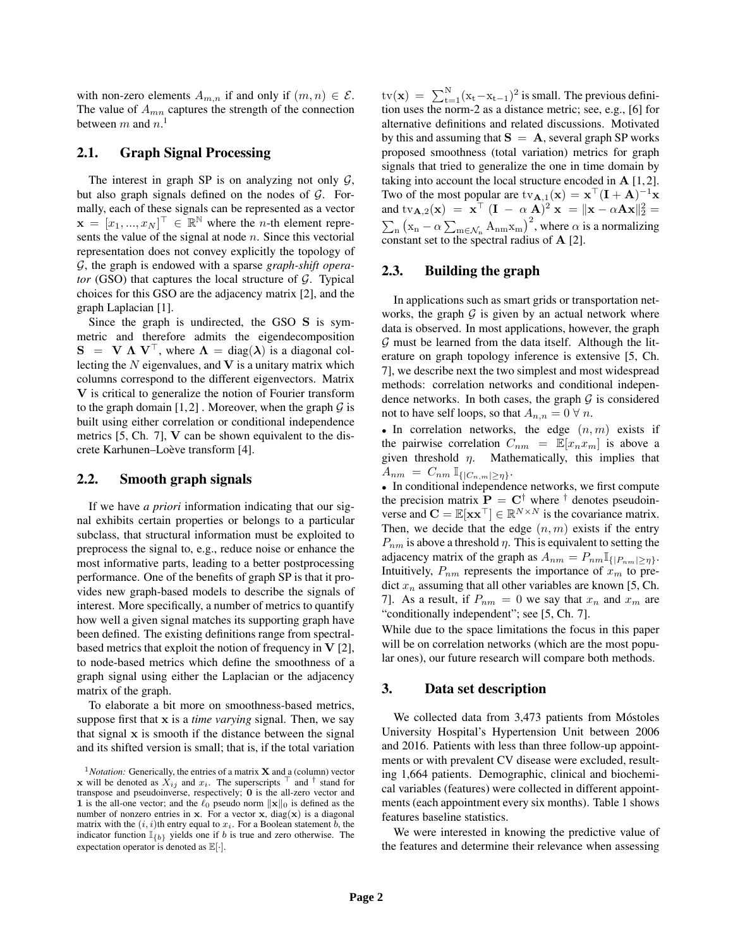with non-zero elements  $A_{m,n}$  if and only if  $(m, n) \in \mathcal{E}$ . The value of  $A_{mn}$  captures the strength of the connection between  $m$  and  $n$ .<sup>1</sup>

## 2.1. Graph Signal Processing

The interest in graph SP is on analyzing not only  $G$ , but also graph signals defined on the nodes of  $G$ . Formally, each of these signals can be represented as a vector  $\mathbf{x} = [x_1, ..., x_N]^\top \in \mathbb{R}^{\mathbb{N}}$  where the *n*-th element represents the value of the signal at node  $n$ . Since this vectorial representation does not convey explicitly the topology of G, the graph is endowed with a sparse *graph-shift operator* (GSO) that captures the local structure of  $G$ . Typical choices for this GSO are the adjacency matrix [2], and the graph Laplacian [1].

Since the graph is undirected, the GSO S is symmetric and therefore admits the eigendecomposition  $S = V \Lambda V^{\top}$ , where  $\Lambda = \text{diag}(\lambda)$  is a diagonal collecting the  $N$  eigenvalues, and  $V$  is a unitary matrix which columns correspond to the different eigenvectors. Matrix V is critical to generalize the notion of Fourier transform to the graph domain [1,2]. Moreover, when the graph  $G$  is built using either correlation or conditional independence metrics [5, Ch. 7], V can be shown equivalent to the discrete Karhunen–Loève transform [4].

#### 2.2. Smooth graph signals

If we have *a priori* information indicating that our signal exhibits certain properties or belongs to a particular subclass, that structural information must be exploited to preprocess the signal to, e.g., reduce noise or enhance the most informative parts, leading to a better postprocessing performance. One of the benefits of graph SP is that it provides new graph-based models to describe the signals of interest. More specifically, a number of metrics to quantify how well a given signal matches its supporting graph have been defined. The existing definitions range from spectralbased metrics that exploit the notion of frequency in  $V$  [2], to node-based metrics which define the smoothness of a graph signal using either the Laplacian or the adjacency matrix of the graph.

To elaborate a bit more on smoothness-based metrics, suppose first that x is a *time varying* signal. Then, we say that signal x is smooth if the distance between the signal and its shifted version is small; that is, if the total variation

 $\text{tv}(\mathbf{x}) = \sum_{t=1}^{N} (x_t - x_{t-1})^2$  is small. The previous definition uses the norm-2 as a distance metric; see, e.g., [6] for alternative definitions and related discussions. Motivated by this and assuming that  $S = A$ , several graph SP works proposed smoothness (total variation) metrics for graph signals that tried to generalize the one in time domain by taking into account the local structure encoded in  $A \, [1, 2]$ . Two of the most popular are  $\text{tv}_{\mathbf{A},1}(\mathbf{x}) = \mathbf{x}^\top (\mathbf{I} + \mathbf{A})^{-1} \mathbf{x}$ and  $\text{tr}_{\mathbf{A},2}(\mathbf{x}) = \mathbf{x}^{\top} (\mathbf{I} - \alpha \mathbf{A})^2 \mathbf{x} = ||\mathbf{x} - \alpha \mathbf{A} \mathbf{x}||_2^2 =$  $\sum_{n} (x_n - \alpha \sum_{m \in \mathcal{N}_n} A_{nm} x_m)^2$ , where  $\alpha$  is a normalizing constant set to the spectral radius of  $A$  [2].

#### 2.3. Building the graph

In applications such as smart grids or transportation networks, the graph  $G$  is given by an actual network where data is observed. In most applications, however, the graph  $G$  must be learned from the data itself. Although the literature on graph topology inference is extensive [5, Ch. 7], we describe next the two simplest and most widespread methods: correlation networks and conditional independence networks. In both cases, the graph  $G$  is considered not to have self loops, so that  $A_{n,n} = 0 \ \forall n$ .

• In correlation networks, the edge  $(n, m)$  exists if the pairwise correlation  $C_{nm} = \mathbb{E}[x_n x_m]$  is above a given threshold  $\eta$ . Mathematically, this implies that  $A_{nm} = C_{nm} \mathbb{I}_{\{|C_{n,m}|\geq \eta\}}.$ 

• In conditional independence networks, we first compute the precision matrix  $\mathbf{P} = \mathbf{C}^{\dagger}$  where  $\dagger$  denotes pseudoinverse and  $\mathbf{C} = \mathbb{E}[\mathbf{x} \mathbf{x}^{\top}] \in \mathbb{R}^{N \times N}$  is the covariance matrix. Then, we decide that the edge  $(n, m)$  exists if the entry  $P_{nm}$  is above a threshold  $\eta$ . This is equivalent to setting the adjacency matrix of the graph as  $A_{nm} = P_{nm} \mathbb{I}_{\{|P_{nm}| \geq \eta\}}$ . Intuitively,  $P_{nm}$  represents the importance of  $x_m$  to predict  $x_n$  assuming that all other variables are known [5, Ch. 7]. As a result, if  $P_{nm} = 0$  we say that  $x_n$  and  $x_m$  are "conditionally independent"; see [5, Ch. 7].

While due to the space limitations the focus in this paper will be on correlation networks (which are the most popular ones), our future research will compare both methods.

# 3. Data set description

We collected data from 3,473 patients from Móstoles University Hospital's Hypertension Unit between 2006 and 2016. Patients with less than three follow-up appointments or with prevalent CV disease were excluded, resulting 1,664 patients. Demographic, clinical and biochemical variables (features) were collected in different appointments (each appointment every six months). Table 1 shows features baseline statistics.

We were interested in knowing the predictive value of the features and determine their relevance when assessing

<sup>&</sup>lt;sup>1</sup>Notation: Generically, the entries of a matrix **X** and a (column) vector **x** will be denoted as  $\overline{X}_{ij}$  and  $x_i$ . The superscripts  $\top$  and  $\dagger$  stand for transpose and pseudoinverse, respectively; 0 is the all-zero vector and 1 is the all-one vector; and the  $\ell_0$  pseudo norm  $||\mathbf{x}||_0$  is defined as the number of nonzero entries in  $x$ . For a vector  $x$ , diag( $x$ ) is a diagonal matrix with the  $(i, i)$ th entry equal to  $x_i$ . For a Boolean statement b, the indicator function  $\mathbb{I}_{\{b\}}$  yields one if b is true and zero otherwise. The expectation operator is denoted as E[·].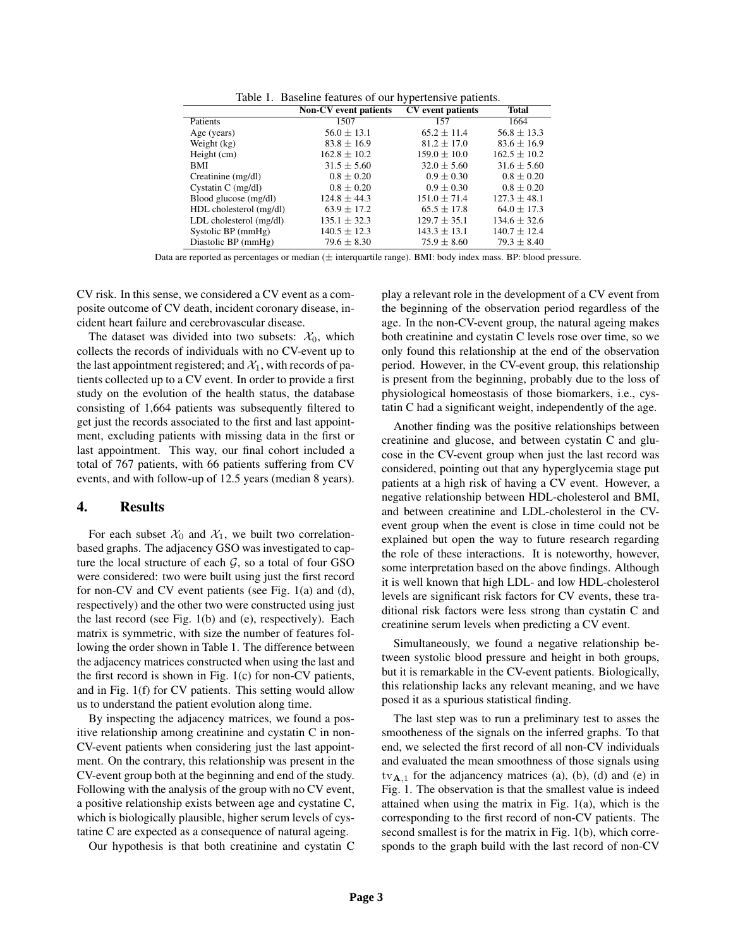Table 1. Baseline features of our hypertensive patients.

|                         | Non-CV event patients | <b>CV</b> event patients | <b>Total</b>     |
|-------------------------|-----------------------|--------------------------|------------------|
| Patients                | 1507                  | 157                      | 1664             |
| Age (years)             | $56.0 \pm 13.1$       | $65.2 \pm 11.4$          | $56.8 \pm 13.3$  |
| Weight $(kg)$           | $83.8 \pm 16.9$       | $81.2 \pm 17.0$          | $83.6 \pm 16.9$  |
| Height (cm)             | $162.8 \pm 10.2$      | $159.0 \pm 10.0$         | $162.5 \pm 10.2$ |
| BMI                     | $31.5 \pm 5.60$       | $32.0 \pm 5.60$          | $31.6 \pm 5.60$  |
| Creatinine (mg/dl)      | $0.8 \pm 0.20$        | $0.9 \pm 0.30$           | $0.8 \pm 0.20$   |
| Cystatin C $(mg/dl)$    | $0.8 \pm 0.20$        | $0.9 \pm 0.30$           | $0.8 \pm 0.20$   |
| Blood glucose (mg/dl)   | $124.8 \pm 44.3$      | $151.0 \pm 71.4$         | $127.3 \pm 48.1$ |
| HDL cholesterol (mg/dl) | $63.9 \pm 17.2$       | $65.5 \pm 17.8$          | $64.0 \pm 17.3$  |
| LDL cholesterol (mg/dl) | $135.1 \pm 32.3$      | $129.7 \pm 35.1$         | $134.6 \pm 32.6$ |
| Systolic BP (mmHg)      | $140.5 \pm 12.3$      | $143.3 \pm 13.1$         | $140.7 \pm 12.4$ |
| Diastolic BP (mmHg)     | $79.6 \pm 8.30$       | $75.9 \pm 8.60$          | $79.3 \pm 8.40$  |

Data are reported as percentages or median (± interquartile range). BMI: body index mass. BP: blood pressure.

CV risk. In this sense, we considered a CV event as a composite outcome of CV death, incident coronary disease, incident heart failure and cerebrovascular disease.

The dataset was divided into two subsets:  $\mathcal{X}_0$ , which collects the records of individuals with no CV-event up to the last appointment registered; and  $\mathcal{X}_1$ , with records of patients collected up to a CV event. In order to provide a first study on the evolution of the health status, the database consisting of 1,664 patients was subsequently filtered to get just the records associated to the first and last appointment, excluding patients with missing data in the first or last appointment. This way, our final cohort included a total of 767 patients, with 66 patients suffering from CV events, and with follow-up of 12.5 years (median 8 years).

### 4. Results

For each subset  $\mathcal{X}_0$  and  $\mathcal{X}_1$ , we built two correlationbased graphs. The adjacency GSO was investigated to capture the local structure of each  $G$ , so a total of four GSO were considered: two were built using just the first record for non-CV and CV event patients (see Fig. 1(a) and (d), respectively) and the other two were constructed using just the last record (see Fig. 1(b) and (e), respectively). Each matrix is symmetric, with size the number of features following the order shown in Table 1. The difference between the adjacency matrices constructed when using the last and the first record is shown in Fig. 1(c) for non-CV patients, and in Fig. 1(f) for CV patients. This setting would allow us to understand the patient evolution along time.

By inspecting the adjacency matrices, we found a positive relationship among creatinine and cystatin C in non-CV-event patients when considering just the last appointment. On the contrary, this relationship was present in the CV-event group both at the beginning and end of the study. Following with the analysis of the group with no CV event, a positive relationship exists between age and cystatine C, which is biologically plausible, higher serum levels of cystatine C are expected as a consequence of natural ageing.

Our hypothesis is that both creatinine and cystatin C

play a relevant role in the development of a CV event from the beginning of the observation period regardless of the age. In the non-CV-event group, the natural ageing makes both creatinine and cystatin C levels rose over time, so we only found this relationship at the end of the observation period. However, in the CV-event group, this relationship is present from the beginning, probably due to the loss of physiological homeostasis of those biomarkers, i.e., cystatin C had a significant weight, independently of the age.

Another finding was the positive relationships between creatinine and glucose, and between cystatin C and glucose in the CV-event group when just the last record was considered, pointing out that any hyperglycemia stage put patients at a high risk of having a CV event. However, a negative relationship between HDL-cholesterol and BMI, and between creatinine and LDL-cholesterol in the CVevent group when the event is close in time could not be explained but open the way to future research regarding the role of these interactions. It is noteworthy, however, some interpretation based on the above findings. Although it is well known that high LDL- and low HDL-cholesterol levels are significant risk factors for CV events, these traditional risk factors were less strong than cystatin C and creatinine serum levels when predicting a CV event.

Simultaneously, we found a negative relationship between systolic blood pressure and height in both groups, but it is remarkable in the CV-event patients. Biologically, this relationship lacks any relevant meaning, and we have posed it as a spurious statistical finding.

The last step was to run a preliminary test to asses the smootheness of the signals on the inferred graphs. To that end, we selected the first record of all non-CV individuals and evaluated the mean smoothness of those signals using  $tv_{A,1}$  for the adjancency matrices (a), (b), (d) and (e) in Fig. 1. The observation is that the smallest value is indeed attained when using the matrix in Fig. 1(a), which is the corresponding to the first record of non-CV patients. The second smallest is for the matrix in Fig. 1(b), which corresponds to the graph build with the last record of non-CV